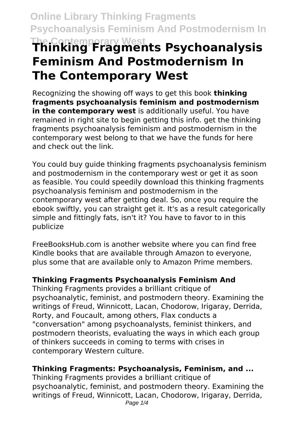**Online Library Thinking Fragments Psychoanalysis Feminism And Postmodernism In**

# **The Contemporary West Thinking Fragments Psychoanalysis Feminism And Postmodernism In The Contemporary West**

Recognizing the showing off ways to get this book **thinking fragments psychoanalysis feminism and postmodernism in the contemporary west** is additionally useful. You have remained in right site to begin getting this info. get the thinking fragments psychoanalysis feminism and postmodernism in the contemporary west belong to that we have the funds for here and check out the link.

You could buy guide thinking fragments psychoanalysis feminism and postmodernism in the contemporary west or get it as soon as feasible. You could speedily download this thinking fragments psychoanalysis feminism and postmodernism in the contemporary west after getting deal. So, once you require the ebook swiftly, you can straight get it. It's as a result categorically simple and fittingly fats, isn't it? You have to favor to in this publicize

FreeBooksHub.com is another website where you can find free Kindle books that are available through Amazon to everyone, plus some that are available only to Amazon Prime members.

# **Thinking Fragments Psychoanalysis Feminism And**

Thinking Fragments provides a brilliant critique of psychoanalytic, feminist, and postmodern theory. Examining the writings of Freud, Winnicott, Lacan, Chodorow, Irigaray, Derrida, Rorty, and Foucault, among others, Flax conducts a "conversation" among psychoanalysts, feminist thinkers, and postmodern theorists, evaluating the ways in which each group of thinkers succeeds in coming to terms with crises in contemporary Western culture.

# **Thinking Fragments: Psychoanalysis, Feminism, and ...**

Thinking Fragments provides a brilliant critique of psychoanalytic, feminist, and postmodern theory. Examining the writings of Freud, Winnicott, Lacan, Chodorow, Irigaray, Derrida, Page  $1/4$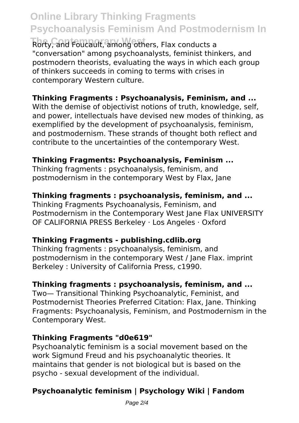# **Online Library Thinking Fragments Psychoanalysis Feminism And Postmodernism In**

**The Contemporary West** Rorty, and Foucault, among others, Flax conducts a "conversation" among psychoanalysts, feminist thinkers, and postmodern theorists, evaluating the ways in which each group of thinkers succeeds in coming to terms with crises in contemporary Western culture.

# **Thinking Fragments : Psychoanalysis, Feminism, and ...**

With the demise of objectivist notions of truth, knowledge, self. and power, intellectuals have devised new modes of thinking, as exemplified by the development of psychoanalysis, feminism, and postmodernism. These strands of thought both reflect and contribute to the uncertainties of the contemporary West.

# **Thinking Fragments: Psychoanalysis, Feminism ...**

Thinking fragments : psychoanalysis, feminism, and postmodernism in the contemporary West by Flax, Jane

# **Thinking fragments : psychoanalysis, feminism, and ...**

Thinking Fragments Psychoanalysis, Feminism, and Postmodernism in the Contemporary West Jane Flax UNIVERSITY OF CALIFORNIA PRESS Berkeley · Los Angeles · Oxford

# **Thinking Fragments - publishing.cdlib.org**

Thinking fragments : psychoanalysis, feminism, and postmodernism in the contemporary West / Jane Flax. imprint Berkeley : University of California Press, c1990.

### **Thinking fragments : psychoanalysis, feminism, and ...**

Two— Transitional Thinking Psychoanalytic, Feminist, and Postmodernist Theories Preferred Citation: Flax, Jane. Thinking Fragments: Psychoanalysis, Feminism, and Postmodernism in the Contemporary West.

### **Thinking Fragments "d0e619"**

Psychoanalytic feminism is a social movement based on the work Sigmund Freud and his psychoanalytic theories. It maintains that gender is not biological but is based on the psycho - sexual development of the individual.

# **Psychoanalytic feminism | Psychology Wiki | Fandom**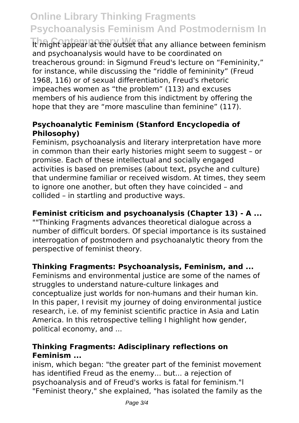# **Online Library Thinking Fragments Psychoanalysis Feminism And Postmodernism In**

It might appear at the outset that any alliance between feminism and psychoanalysis would have to be coordinated on treacherous ground: in Sigmund Freud's lecture on "Femininity," for instance, while discussing the "riddle of femininity" (Freud 1968, 116) or of sexual differentiation, Freud's rhetoric impeaches women as "the problem" (113) and excuses members of his audience from this indictment by offering the hope that they are "more masculine than feminine" (117).

### **Psychoanalytic Feminism (Stanford Encyclopedia of Philosophy)**

Feminism, psychoanalysis and literary interpretation have more in common than their early histories might seem to suggest – or promise. Each of these intellectual and socially engaged activities is based on premises (about text, psyche and culture) that undermine familiar or received wisdom. At times, they seem to ignore one another, but often they have coincided – and collided – in startling and productive ways.

# **Feminist criticism and psychoanalysis (Chapter 13) - A ...**

""Thinking Fragments advances theoretical dialogue across a number of difficult borders. Of special importance is its sustained interrogation of postmodern and psychoanalytic theory from the perspective of feminist theory.

### **Thinking Fragments: Psychoanalysis, Feminism, and ...**

Feminisms and environmental justice are some of the names of struggles to understand nature-culture linkages and conceptualize just worlds for non-humans and their human kin. In this paper, I revisit my journey of doing environmental justice research, i.e. of my feminist scientific practice in Asia and Latin America. In this retrospective telling I highlight how gender, political economy, and ...

### **Thinking Fragments: Adisciplinary reflections on Feminism ...**

inism, which began: "the greater part of the feminist movement has identified Freud as the enemy... but... a rejection of psychoanalysis and of Freud's works is fatal for feminism."l "Feminist theory," she explained, "has isolated the family as the